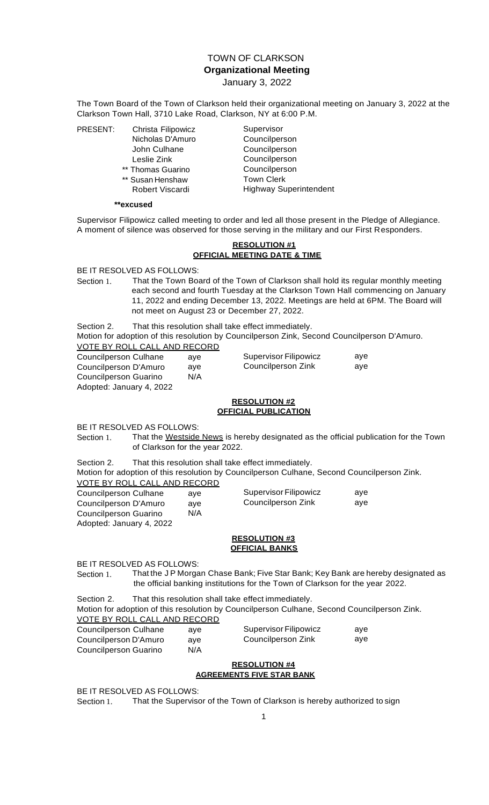# TOWN OF CLARKSON **Organizational Meeting** January 3, 2022

The Town Board of the Town of Clarkson held their organizational meeting on January 3, 2022 at the Clarkson Town Hall, 3710 Lake Road, Clarkson, NY at 6:00 P.M.

PRESENT: Christa Filipowicz

- Nicholas D'Amuro John Culhane Leslie Zink \*\* Thomas Guarino
- \*\* Susan Henshaw
- Robert Viscardi

Supervisor Councilperson Councilperson Councilperson Councilperson Town Clerk Highway Superintendent

#### **\*\*excused**

Supervisor Filipowicz called meeting to order and led all those present in the Pledge of Allegiance. A moment of silence was observed for those serving in the military and our First Responders.

#### **RESOLUTION #1 OFFICIAL MEETING DATE & TIME**

BE IT RESOLVED AS FOLLOWS:

Section 1. That the Town Board of the Town of Clarkson shall hold its regular monthly meeting each second and fourth Tuesday at the Clarkson Town Hall commencing on January 11, 2022 and ending December 13, 2022. Meetings are held at 6PM. The Board will not meet on August 23 or December 27, 2022.

Section 2. That this resolution shall take effect immediately.

Motion for adoption of this resolution by Councilperson Zink, Second Councilperson D'Amuro. VOTE BY ROLL CALL AND RECORD

| <b>Councilperson Culhane</b> | ave |
|------------------------------|-----|
| Councilperson D'Amuro        | ave |
| <b>Councilperson Guarino</b> | N/A |
| Adopted: January 4, 2022     |     |

# **RESOLUTION #2 OFFICIAL PUBLICATION**

Supervisor Filipowicz Councilperson Zink

aye aye

BE IT RESOLVED AS FOLLOWS:

Section 1. That the Westside News is hereby designated as the official publication for the Town of Clarkson for the year 2022.

Section 2. That this resolution shall take effect immediately.

Motion for adoption of this resolution by Councilperson Culhane, Second Councilperson Zink. VOTE BY ROLL CALL AND RECORD

| Councilperson Culhane    | ave | Supervisor Filipowicz |
|--------------------------|-----|-----------------------|
| Councilperson D'Amuro    | ave | Councilperson Zink    |
| Councilperson Guarino    | N/A |                       |
| Adopted: January 4, 2022 |     |                       |

## **RESOLUTION #3 OFFICIAL BANKS**

BE IT RESOLVED AS FOLLOWS:

Section 1. That the JP Morgan Chase Bank; Five Star Bank; Key Bank are hereby designated as the official banking institutions for the Town of Clarkson for the year 2022.

Section 2. That this resolution shall take effect immediately.

Motion for adoption of this resolution by Councilperson Culhane, Second Councilperson Zink. VOTE BY ROLL CALL AND RECORD

| <b>VOIL BI NOLL OALL AND NECOND</b> |     |                       |     |
|-------------------------------------|-----|-----------------------|-----|
| Councilperson Culhane               | ave | Supervisor Filipowicz | ave |
| Councilperson D'Amuro               | ave | Councilperson Zink    | ave |
| Councilperson Guarino               | N/A |                       |     |
|                                     |     |                       |     |

#### **RESOLUTION #4 AGREEMENTS FIVE STAR BANK**

BE IT RESOLVED AS FOLLOWS:

Section 1. That the Supervisor of the Town of Clarkson is hereby authorized to sign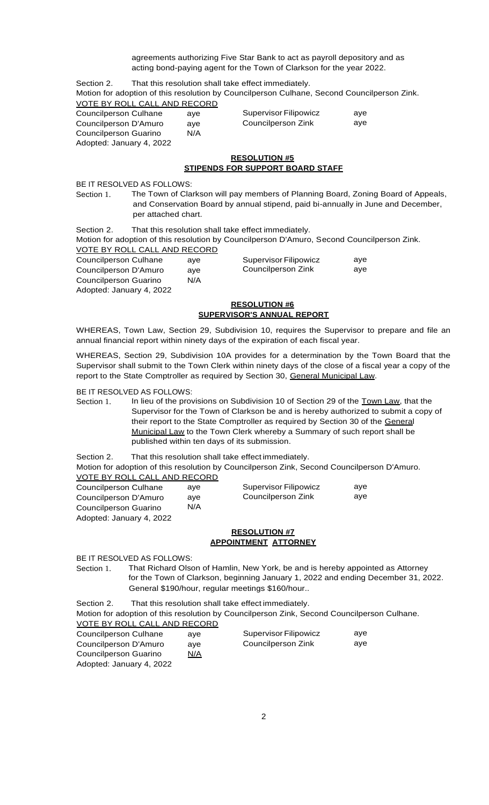agreements authorizing Five Star Bank to act as payroll depository and as acting bond-paying agent for the Town of Clarkson for the year 2022.

Section 2. That this resolution shall take effect immediately. Motion for adoption of this resolution by Councilperson Culhane, Second Councilperson Zink. VOTE BY ROLL CALL AND RECORD

| ave | Supervisor Filipowicz | ave |
|-----|-----------------------|-----|
| ave | Councilperson Zink    | ave |
| N/A |                       |     |
|     |                       |     |
|     |                       |     |

## **RESOLUTION #5 STIPENDS FOR SUPPORT BOARD STAFF**

BE IT RESOLVED AS FOLLOWS:

Section 1. The Town of Clarkson will pay members of Planning Board, Zoning Board of Appeals, and Conservation Board by annual stipend, paid bi-annually in June and December, per attached chart.

Section 2. That this resolution shall take effect immediately.

Motion for adoption of this resolution by Councilperson D'Amuro, Second Councilperson Zink.

| VOTE BY ROLL CALL AND RECORD |     |                              |     |
|------------------------------|-----|------------------------------|-----|
| Councilperson Culhane        | ave | <b>Supervisor Filipowicz</b> | ave |
| Councilperson D'Amuro        | ave | Councilperson Zink           | ave |
| Councilperson Guarino        | N/A |                              |     |
| Adopted: January 4, 2022     |     |                              |     |

## **RESOLUTION #6 SUPERVISOR'S ANNUAL REPORT**

WHEREAS, Town Law, Section 29, Subdivision 10, requires the Supervisor to prepare and file an annual financial report within ninety days of the expiration of each fiscal year.

WHEREAS, Section 29, Subdivision 10A provides for a determination by the Town Board that the Supervisor shall submit to the Town Clerk within ninety days of the close of a fiscal year a copy of the report to the State Comptroller as required by Section 30, General Municipal Law.

BE IT RESOLVED AS FOLLOWS:

Section 1. In lieu of the provisions on Subdivision 10 of Section 29 of the Town Law, that the Supervisor for the Town of Clarkson be and is hereby authorized to submit a copy of their report to the State Comptroller as required by Section 30 of the General Municipal Law to the Town Clerk whereby a Summary of such report shall be published within ten days of its submission.

Section 2. That this resolution shall take effect immediately.

Motion for adoption of this resolution by Councilperson Zink, Second Councilperson D'Amuro. VOTE BY ROLL CALL AND RECORD

| VOTE BT ROLL CALL AND RECORD |     |                              |     |
|------------------------------|-----|------------------------------|-----|
| Councilperson Culhane        | ave | <b>Supervisor Filipowicz</b> | ave |
| Councilperson D'Amuro        | ave | Councilperson Zink           | ave |
| Councilperson Guarino        | N/A |                              |     |
| Adopted: January 4, 2022     |     |                              |     |

## **RESOLUTION #7 APPOINTMENT ATTORNEY**

BE IT RESOLVED AS FOLLOWS:

Section 1. That Richard Olson of Hamlin, New York, be and is hereby appointed as Attorney for the Town of Clarkson, beginning January 1, 2022 and ending December 31, 2022. General \$190/hour, regular meetings \$160/hour..

## Section 2. That this resolution shall take effect immediately.

Motion for adoption of this resolution by Councilperson Zink, Second Councilperson Culhane. VOTE BY ROLL CALL AND RECORD

| Councilperson Culhane    | ave        | Supervisor Filipowicz | ave |
|--------------------------|------------|-----------------------|-----|
| Councilperson D'Amuro    | ave        | Councilperson Zink    | ave |
| Councilperson Guarino    | <u>N/A</u> |                       |     |
| Adopted: January 4, 2022 |            |                       |     |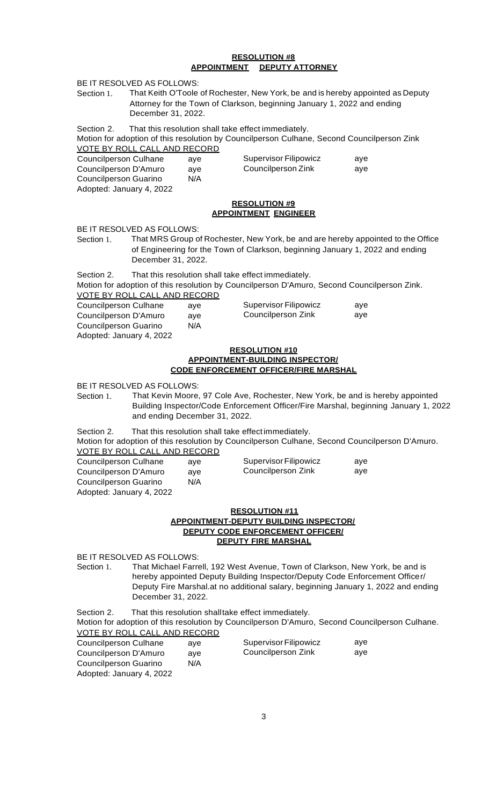## **RESOLUTION #8 APPOINTMENT DEPUTY ATTORNEY**

BE IT RESOLVED AS FOLLOWS:

Section 1. That Keith O'Toole of Rochester, New York, be and is hereby appointed as Deputy Attorney for the Town of Clarkson, beginning January 1, 2022 and ending December 31, 2022.

Section 2. That this resolution shall take effect immediately.

Motion for adoption of this resolution by Councilperson Culhane, Second Councilperson Zink VOTE BY ROLL CALL AND RECORD

| Councilperson Culhane    | ave | Supervisor Filipowicz | ave |
|--------------------------|-----|-----------------------|-----|
| Councilperson D'Amuro    | ave | Councilperson Zink    | ave |
| Councilperson Guarino    | N/A |                       |     |
| Adopted: January 4, 2022 |     |                       |     |

## **RESOLUTION #9 APPOINTMENT ENGINEER**

BE IT RESOLVED AS FOLLOWS:

Section 1. That MRS Group of Rochester, New York, be and are hereby appointed to the Office of Engineering for the Town of Clarkson, beginning January 1, 2022 and ending December 31, 2022.

Section 2. That this resolution shall take effect immediately.

Motion for adoption of this resolution by Councilperson D'Amuro, Second Councilperson Zink. VOTE BY ROLL CALL AND RECORD

| VOTE BY RULL CALL AND RECORD |     |                       |     |
|------------------------------|-----|-----------------------|-----|
| Councilperson Culhane        | ave | Supervisor Filipowicz | ave |
| Councilperson D'Amuro        | ave | Councilperson Zink    | ave |
| Councilperson Guarino        | N/A |                       |     |
| Adopted: January 4, 2022     |     |                       |     |

#### **RESOLUTION #10 APPOINTMENT-BUILDING INSPECTOR/ CODE ENFORCEMENT OFFICER/FIRE MARSHAL**

BE IT RESOLVED AS FOLLOWS:

Section 1. That Kevin Moore, 97 Cole Ave, Rochester, New York, be and is hereby appointed Building Inspector/Code Enforcement Officer/Fire Marshal, beginning January 1, 2022 and ending December 31, 2022.

Section 2. That this resolution shall take effect immediately.

Motion for adoption of this resolution by Councilperson Culhane, Second Councilperson D'Amuro. VOTE BY ROLL CALL AND RECORD

| Councilperson Culhane    | ave | Supervisor Filipowicz | ave |
|--------------------------|-----|-----------------------|-----|
| Councilperson D'Amuro    | ave | Councilperson Zink    | ave |
| Councilperson Guarino    | N/A |                       |     |
| Adopted: January 4, 2022 |     |                       |     |

#### **RESOLUTION #11 APPOINTMENT-DEPUTY BUILDING INSPECTOR/ DEPUTY CODE ENFORCEMENT OFFICER/ DEPUTY FIRE MARSHAL**

BE IT RESOLVED AS FOLLOWS:

Section 1. That Michael Farrell, 192 West Avenue, Town of Clarkson, New York, be and is hereby appointed Deputy Building Inspector/Deputy Code Enforcement Officer/ Deputy Fire Marshal.at no additional salary, beginning January 1, 2022 and ending December 31, 2022.

Section 2. That this resolution shalltake effect immediately.

Motion for adoption of this resolution by Councilperson D'Amuro, Second Councilperson Culhane. VOTE BY ROLL CALL AND RECORD

| Councilperson Culhane    | ave | <b>Supervisor Filipowicz</b> | ave |
|--------------------------|-----|------------------------------|-----|
| Councilperson D'Amuro    | ave | Councilperson Zink           | ave |
| Councilperson Guarino    | N/A |                              |     |
| Adopted: January 4, 2022 |     |                              |     |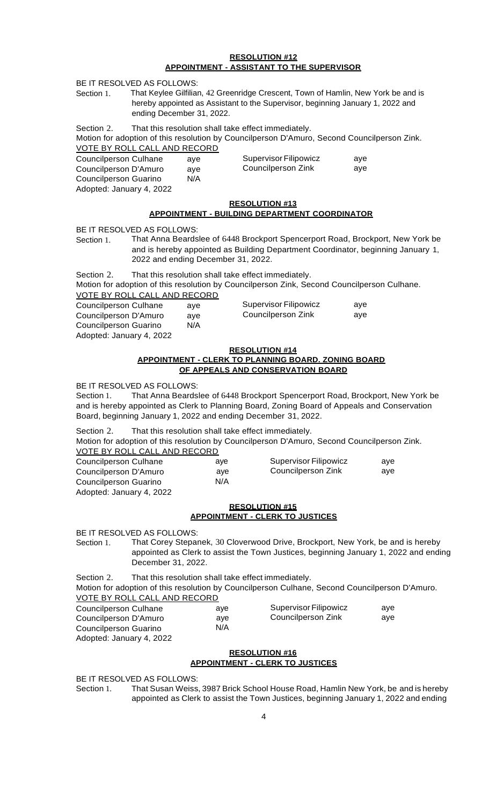#### **RESOLUTION #12 APPOINTMENT - ASSISTANT TO THE SUPERVISOR**

BE IT RESOLVED AS FOLLOWS:

Section 1. That Keylee Gilfilian, 42 Greenridge Crescent, Town of Hamlin, New York be and is hereby appointed as Assistant to the Supervisor, beginning January 1, 2022 and ending December 31, 2022.

Section 2. That this resolution shall take effect immediately.

Motion for adoption of this resolution by Councilperson D'Amuro, Second Councilperson Zink. VOTE BY ROLL CALL AND RECORD

# **RESOLUTION #13**

# **APPOINTMENT - BUILDING DEPARTMENT COORDINATOR**

BE IT RESOLVED AS FOLLOWS:

Section 1. That Anna Beardslee of 6448 Brockport Spencerport Road, Brockport, New York be and is hereby appointed as Building Department Coordinator, beginning January 1, 2022 and ending December 31, 2022.

Section 2. That this resolution shall take effect immediately.

Motion for adoption of this resolution by Councilperson Zink, Second Councilperson Culhane. VOTE BY ROLL CALL AND RECORD

Adopted: January 4, 2022

#### **RESOLUTION #14**

#### **APPOINTMENT - CLERK TO PLANNING BOARD. ZONING BOARD OF APPEALS AND CONSERVATION BOARD**

BE IT RESOLVED AS FOLLOWS:

Section 1. That Anna Beardslee of 6448 Brockport Spencerport Road, Brockport, New York be and is hereby appointed as Clerk to Planning Board, Zoning Board of Appeals and Conservation Board, beginning January 1, 2022 and ending December 31, 2022.

Section 2. That this resolution shall take effect immediately. Motion for adoption of this resolution by Councilperson D'Amuro, Second Councilperson Zink.

| VOTE BY ROLL CALL AND RECORD |     |                       |     |
|------------------------------|-----|-----------------------|-----|
| Councilperson Culhane        | ave | Supervisor Filipowicz | ave |
| Councilperson D'Amuro        | ave | Councilperson Zink    | ave |
| Councilperson Guarino        | N/A |                       |     |
| Adopted: January 4, 2022     |     |                       |     |

# **RESOLUTION #15 APPOINTMENT - CLERK TO JUSTICES**

BE IT RESOLVED AS FOLLOWS:

Section 1. That Corey Stepanek, 30 Cloverwood Drive, Brockport, New York, be and is hereby appointed as Clerk to assist the Town Justices, beginning January 1, 2022 and ending December 31, 2022.

Section 2. That this resolution shall take effect immediately.

Motion for adoption of this resolution by Councilperson Culhane, Second Councilperson D'Amuro. VOTE BY ROLL CALL AND RECORD

| Councilperson Culhane    | ave | Supervisor Filipowicz | ave |
|--------------------------|-----|-----------------------|-----|
| Councilperson D'Amuro    | ave | Councilperson Zink    | ave |
| Councilperson Guarino    | N/A |                       |     |
| Adopted: January 4, 2022 |     |                       |     |

## **RESOLUTION #16 APPOINTMENT - CLERK TO JUSTICES**

BE IT RESOLVED AS FOLLOWS:

Section 1. That Susan Weiss, 3987 Brick School House Road, Hamlin New York, be and is hereby appointed as Clerk to assist the Town Justices, beginning January 1, 2022 and ending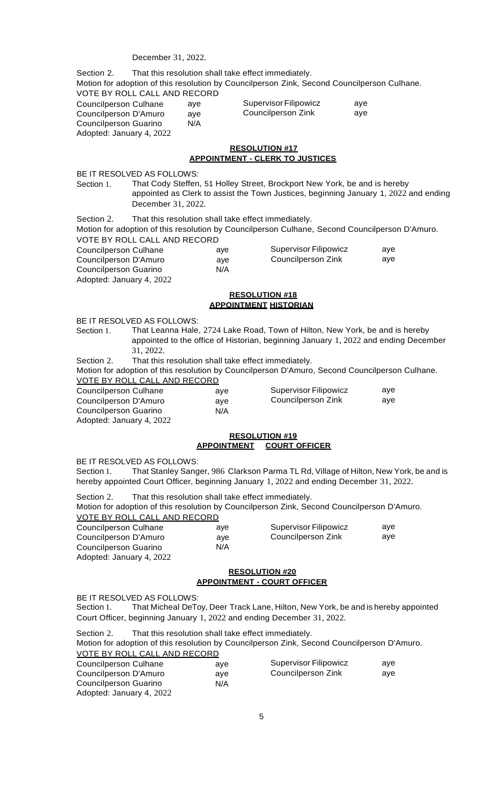#### December 31, 2022.

Section 2. That this resolution shall take effect immediately. Motion for adoption of this resolution by Councilperson Zink, Second Councilperson Culhane. VOTE BY ROLL CALL AND RECORD aye

| <b>Councilperson Culhane</b> | ave | <b>Supervisor Filipowicz</b> |
|------------------------------|-----|------------------------------|
| Councilperson D'Amuro        | ave | Councilperson Zink           |
| Councilperson Guarino        | N/A |                              |
| Adopted: January 4, 2022     |     |                              |

#### **RESOLUTION #17 APPOINTMENT - CLERK TO JUSTICES**

aye

aye aye

BE IT RESOLVED AS FOLLOWS:

Section 1. That Cody Steffen, 51 Holley Street, Brockport New York, be and is hereby appointed as Clerk to assist the Town Justices, beginning January 1, 2022 and ending December 31, 2022.

Section 2. That this resolution shall take effect immediately.

Motion for adoption of this resolution by Councilperson Culhane, Second Councilperson D'Amuro. VOTE BY ROLL CALL AND RECORD

| Councilperson Culhane    | ave | Supervisor Filipowicz | ave |
|--------------------------|-----|-----------------------|-----|
| Councilperson D'Amuro    | ave | Councilperson Zink    | ave |
| Councilperson Guarino    | N/A |                       |     |
| Adopted: January 4, 2022 |     |                       |     |

## **RESOLUTION #18 APPOINTMENT HISTORIAN**

BE IT RESOLVED AS FOLLOWS:

- Section 1. That Leanna Hale, 2724 Lake Road, Town of Hilton, New York, be and is hereby appointed to the office of Historian, beginning January 1, 2022 and ending December 31, 2022.
- Section 2. That this resolution shall take effect immediately.

Motion for adoption of this resolution by Councilperson D'Amuro, Second Councilperson Culhane. VOTE BY ROLL CALL AND RECORD

| Councilperson Culhane | ave | Supervisor Filipowicz |
|-----------------------|-----|-----------------------|
| Councilperson D'Amuro | ave | Councilperson Zink    |
| Councilperson Guarino | N/A |                       |

Councilperson Guarino Adopted: January 4, 2022

#### **RESOLUTION #19 APPOINTMENT COURT OFFICER**

BE IT RESOLVED AS FOLLOWS:

Section 1. That Stanley Sanger, 986 Clarkson Parma TL Rd, Village of Hilton, New York, be and is hereby appointed Court Officer, beginning January 1, 2022 and ending December 31, 2022.

| Section 2.            |                              | That this resolution shall take effect immediately. |                                                                                             |     |
|-----------------------|------------------------------|-----------------------------------------------------|---------------------------------------------------------------------------------------------|-----|
|                       |                              |                                                     | Motion for adoption of this resolution by Councilperson Zink, Second Councilperson D'Amuro. |     |
|                       | VOTE BY ROLL CALL AND RECORD |                                                     |                                                                                             |     |
| Councilperson Culhane |                              | ave                                                 | Supervisor Filipowicz                                                                       | ave |

| Councilperson Cuinane | ave | <b>SUPERVISOL FIIIPOWICZ</b> | avc |
|-----------------------|-----|------------------------------|-----|
| Councilperson D'Amuro | ave | Councilperson Zink           | ave |
| Councilperson Guarino | N/A |                              |     |

Co Adopted: January 4, 2022

## **RESOLUTION #20 APPOINTMENT - COURT OFFICER**

BE IT RESOLVED AS FOLLOWS:

Adopted: January 4, 2022

Section 1. That Micheal DeToy, Deer Track Lane, Hilton, New York, be and is hereby appointed Court Officer, beginning January 1, 2022 and ending December 31, 2022.

Section 2. That this resolution shall take effect immediately. Motion for adoption of this resolution by Councilperson Zink, Second Councilperson D'Amuro. VOTE BY ROLL CALL AND RECORD Councilperson Culhane Councilperson D'Amuro Councilperson Guarino aye aye N/A Supervisor Filipowicz Councilperson Zink aye aye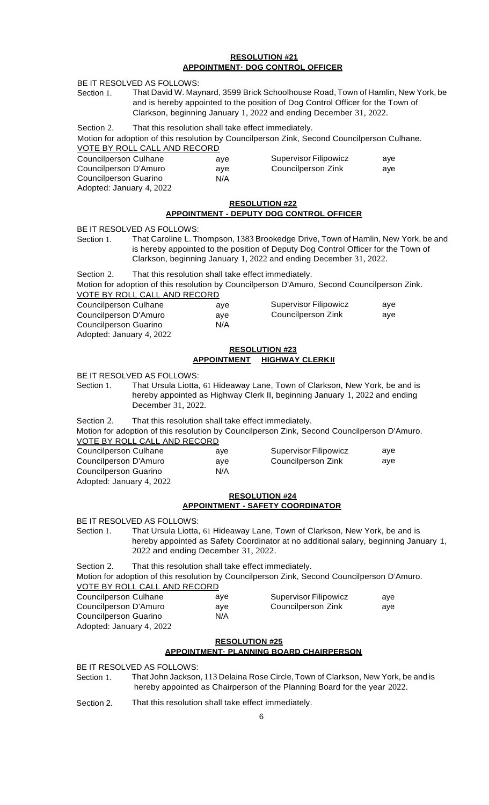#### **RESOLUTION #21 APPOINTMENT· DOG CONTROL OFFICER**

BE IT RESOLVED AS FOLLOWS:

- Section 1. That David W. Maynard, 3599 Brick Schoolhouse Road, Town of Hamlin, New York, be and is hereby appointed to the position of Dog Control Officer for the Town of Clarkson, beginning January 1, 2022 and ending December 31, 2022.
- Section 2. That this resolution shall take effect immediately.

Motion for adoption of this resolution by Councilperson Zink, Second Councilperson Culhane. VOTE BY ROLL CALL AND RECORD

| Councilperson Culhane    | ave | <b>Supervisor Filipowicz</b> | ave |
|--------------------------|-----|------------------------------|-----|
| Councilperson D'Amuro    | ave | Councilperson Zink           | ave |
| Councilperson Guarino    | N/A |                              |     |
| Adopted: January 4, 2022 |     |                              |     |

## **RESOLUTION #22**

## **APPOINTMENT - DEPUTY DOG CONTROL OFFICER**

BE IT RESOLVED AS FOLLOWS:

Section 1. That Caroline L. Thompson, 1383 Brookedge Drive, Town of Hamlin, New York, be and is hereby appointed to the position of Deputy Dog Control Officer for the Town of Clarkson, beginning January 1, 2022 and ending December 31, 2022.

Section 2. That this resolution shall take effect immediately. Motion for adoption of this resolution by Councilperson D'Amuro, Second Councilperson Zink. VOTE BY ROLL CALL AND RECORD

| <b>Councilperson Culhane</b> | ave | <b>Supervisor Filipowicz</b> | ave |
|------------------------------|-----|------------------------------|-----|
| Councilperson D'Amuro        | ave | Councilperson Zink           | ave |
| Councilperson Guarino        | N/A |                              |     |
|                              |     |                              |     |

#### Adopted: January 4, 2022

## **RESOLUTION #23 APPOINTMENT HIGHWAY CLERKII**

BE IT RESOLVED AS FOLLOWS:

Section 1. That Ursula Liotta, 61 Hideaway Lane, Town of Clarkson, New York, be and is hereby appointed as Highway Clerk II, beginning January 1, 2022 and ending December 31, 2022.

Section 2. That this resolution shall take effect immediately.

Motion for adoption of this resolution by Councilperson Zink, Second Councilperson D'Amuro. VOTE BY ROLL CALL AND RECORD

| Councilperson Culhane    | ave | Supervisor Filipowicz | ave |
|--------------------------|-----|-----------------------|-----|
| Councilperson D'Amuro    | ave | Councilperson Zink    | ave |
| Councilperson Guarino    | N/A |                       |     |
| Adopted: January 4, 2022 |     |                       |     |

## **RESOLUTION #24 APPOINTMENT - SAFETY COORDINATOR**

BE IT RESOLVED AS FOLLOWS:

Section 1. That Ursula Liotta, 61 Hideaway Lane, Town of Clarkson, New York, be and is hereby appointed as Safety Coordinator at no additional salary, beginning January 1, 2022 and ending December 31, 2022.

Section 2. That this resolution shall take effect immediately.

Motion for adoption of this resolution by Councilperson Zink, Second Councilperson D'Amuro. VOTE BY ROLL CALL AND RECORD

| Councilperson Culhane    | ave | Supervisor Filipowicz | ave |
|--------------------------|-----|-----------------------|-----|
| Councilperson D'Amuro    | ave | Councilperson Zink    | ave |
| Councilperson Guarino    | N/A |                       |     |
| Adopted: January 4, 2022 |     |                       |     |

## **RESOLUTION #25 APPOINTMENT· PLANNING BOARD CHAIRPERSON**

BE IT RESOLVED AS FOLLOWS:

Section 1. That John Jackson, 113 Delaina Rose Circle, Town of Clarkson, New York, be and is hereby appointed as Chairperson of the Planning Board for the year 2022.

Section 2. That this resolution shall take effect immediately.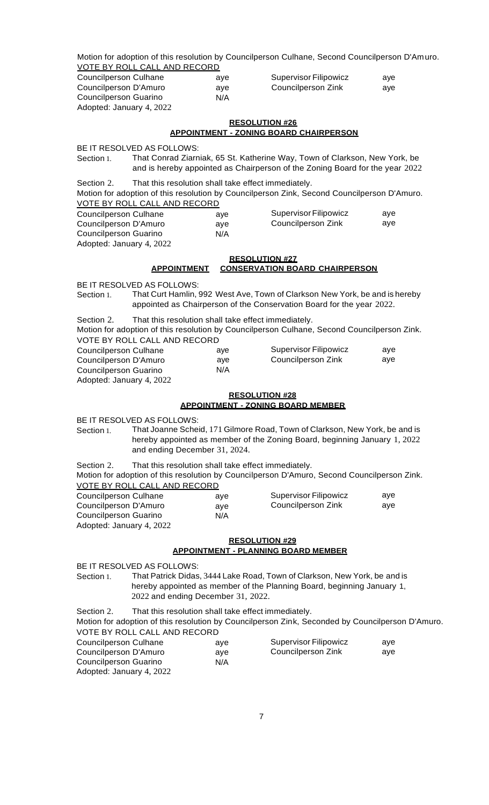Motion for adoption of this resolution by Councilperson Culhane, Second Councilperson D'Amuro. VOTE BY ROLL CALL AND RECORD

| Councilperson Culhane    | ave | Supervisor Filipowicz | ave |
|--------------------------|-----|-----------------------|-----|
| Councilperson D'Amuro    | ave | Councilperson Zink    | ave |
| Councilperson Guarino    | N/A |                       |     |
| Adopted: January 4, 2022 |     |                       |     |

#### **RESOLUTION #26 APPOINTMENT - ZONING BOARD CHAIRPERSON**

BE IT RESOLVED AS FOLLOWS:

Section 1. That Conrad Ziarniak, 65 St. Katherine Way, Town of Clarkson, New York, be and is hereby appointed as Chairperson of the Zoning Board for the year 2022

Section 2. That this resolution shall take effect immediately. Motion for adoption of this resolution by Councilperson Zink, Second Councilperson D'Amuro. VOTE BY ROLL CALL AND RECORD

| Councilperson Culhane    | ave | Supervisor Filipowicz | ave |
|--------------------------|-----|-----------------------|-----|
| Councilperson D'Amuro    | ave | Councilperson Zink    | ave |
| Councilperson Guarino    | N/A |                       |     |
| Adopted: January 4, 2022 |     |                       |     |

# **RESOLUTION #27 APPOINTMENT CONSERVATION BOARD CHAIRPERSON**

BE IT RESOLVED AS FOLLOWS:

Section 1. That Curt Hamlin, 992 West Ave, Town of Clarkson New York, be and is hereby appointed as Chairperson of the Conservation Board for the year 2022.

Section 2. That this resolution shall take effect immediately. Motion for adoption of this resolution by Councilperson Culhane, Second Councilperson Zink. VOTE BY ROLL CALL AND RECORD

| Councilperson Culhane    | ave | <b>Supervisor Filipowicz</b> | ave |
|--------------------------|-----|------------------------------|-----|
| Councilperson D'Amuro    | ave | Councilperson Zink           | ave |
| Councilperson Guarino    | N/A |                              |     |
| Adopted: January 4, 2022 |     |                              |     |

#### **RESOLUTION #28 APPOINTMENT - ZONING BOARD MEMBER**

BE IT RESOLVED AS FOLLOWS:

Section 1. That Joanne Scheid, 171 Gilmore Road, Town of Clarkson, New York, be and is hereby appointed as member of the Zoning Board, beginning January 1, 2022 and ending December 31, 2024.

Section 2. That this resolution shall take effect immediately.

Motion for adoption of this resolution by Councilperson D'Amuro, Second Councilperson Zink. VOTE BY ROLL CALL AND RECORD

| Councilperson Culhane    |     | Supervisor Filipowicz | ave |
|--------------------------|-----|-----------------------|-----|
|                          | ave |                       |     |
| Councilperson D'Amuro    | ave | Councilperson Zink    | ave |
| Councilperson Guarino    | N/A |                       |     |
| Adopted: January 4, 2022 |     |                       |     |

## **RESOLUTION #29 APPOINTMENT - PLANNING BOARD MEMBER**

BE IT RESOLVED AS FOLLOWS:

Section 1. That Patrick Didas, 3444 Lake Road, Town of Clarkson, New York, be and is hereby appointed as member of the Planning Board, beginning January 1, 2022 and ending December 31, 2022.

Section 2. That this resolution shall take effect immediately. Motion for adoption of this resolution by Councilperson Zink, Seconded by Councilperson D'Amuro. VOTE BY ROLL CALL AND RECORD Councilperson Culhane  $\sim$ Supervisor Filipowicz aye

| <b>COUNTER SULL CUILIBRITY</b> | ave | <b>OUPGIVIOUT I IIIPUWICZ</b> | αγ <del>σ</del> |
|--------------------------------|-----|-------------------------------|-----------------|
| Councilperson D'Amuro          | ave | Councilperson Zink            | ave             |
| Councilperson Guarino          | N/A |                               |                 |
| Adopted: January 4, 2022       |     |                               |                 |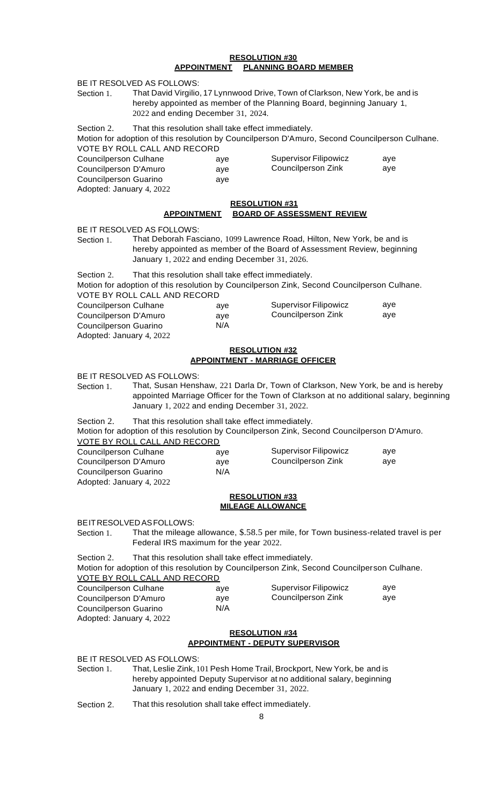#### **RESOLUTION #30 APPOINTMENT PLANNING BOARD MEMBER**

| Section 1.                                                                                                 | BE IT RESOLVED AS FOLLOWS:<br>2022 and ending December 31, 2024.                           |                                                   | That David Virgilio, 17 Lynnwood Drive, Town of Clarkson, New York, be and is<br>hereby appointed as member of the Planning Board, beginning January 1,                   |            |
|------------------------------------------------------------------------------------------------------------|--------------------------------------------------------------------------------------------|---------------------------------------------------|---------------------------------------------------------------------------------------------------------------------------------------------------------------------------|------------|
| Section 2.<br><b>Councilperson Culhane</b><br>Councilperson D'Amuro<br>Councilperson Guarino               | That this resolution shall take effect immediately.<br>VOTE BY ROLL CALL AND RECORD        | aye<br>aye<br>aye                                 | Motion for adoption of this resolution by Councilperson D'Amuro, Second Councilperson Culhane.<br><b>Supervisor Filipowicz</b><br>Councilperson Zink                      | aye<br>aye |
| Adopted: January 4, 2022                                                                                   |                                                                                            |                                                   |                                                                                                                                                                           |            |
|                                                                                                            | <b>APPOINTMENT</b>                                                                         | <b>RESOLUTION #31</b>                             | <b>BOARD OF ASSESSMENT REVIEW</b>                                                                                                                                         |            |
| Section 1.                                                                                                 | BE IT RESOLVED AS FOLLOWS:<br>January 1, 2022 and ending December 31, 2026.                |                                                   | That Deborah Fasciano, 1099 Lawrence Road, Hilton, New York, be and is<br>hereby appointed as member of the Board of Assessment Review, beginning                         |            |
| Section 2.                                                                                                 | That this resolution shall take effect immediately.<br>VOTE BY ROLL CALL AND RECORD        |                                                   | Motion for adoption of this resolution by Councilperson Zink, Second Councilperson Culhane.                                                                               |            |
| <b>Councilperson Culhane</b><br>Councilperson D'Amuro<br>Councilperson Guarino<br>Adopted: January 4, 2022 |                                                                                            | aye<br>aye<br>N/A                                 | <b>Supervisor Filipowicz</b><br>Councilperson Zink                                                                                                                        | aye<br>aye |
|                                                                                                            |                                                                                            | <b>RESOLUTION #32</b>                             | <b>APPOINTMENT - MARRIAGE OFFICER</b>                                                                                                                                     |            |
| Section 1.                                                                                                 | BE IT RESOLVED AS FOLLOWS:<br>January 1, 2022 and ending December 31, 2022.                |                                                   | That, Susan Henshaw, 221 Darla Dr, Town of Clarkson, New York, be and is hereby<br>appointed Marriage Officer for the Town of Clarkson at no additional salary, beginning |            |
| Section 2.                                                                                                 | That this resolution shall take effect immediately.<br><u>VOTE BY ROLL CALL AND RECORD</u> |                                                   | Motion for adoption of this resolution by Councilperson Zink, Second Councilperson D'Amuro.                                                                               |            |
| Councilperson Culhane<br>Councilperson D'Amuro<br>Councilperson Guarino<br>Adopted: January 4, 2022        |                                                                                            | aye<br>aye<br>N/A                                 | <b>Supervisor Filipowicz</b><br>Councilperson Zink                                                                                                                        | aye<br>aye |
|                                                                                                            |                                                                                            | <b>RESOLUTION #33</b><br><b>MILEAGE ALLOWANCE</b> |                                                                                                                                                                           |            |
| Section 1.                                                                                                 | BE IT RESOLVED AS FOLLOWS:<br>Federal IRS maximum for the year 2022.                       |                                                   | That the mileage allowance, \$.58.5 per mile, for Town business-related travel is per                                                                                     |            |
| Section 2.                                                                                                 | That this resolution shall take effect immediately.<br><u>VOTE BY ROLL CALL AND RECORD</u> |                                                   | Motion for adoption of this resolution by Councilperson Zink, Second Councilperson Culhane.                                                                               |            |
| Councilperson Culhane<br>Councilperson D'Amuro<br>Councilperson Guarino<br>Adopted: January 4, 2022        |                                                                                            | aye<br>aye<br>N/A                                 | <b>Supervisor Filipowicz</b><br>Councilperson Zink                                                                                                                        | aye<br>aye |
|                                                                                                            |                                                                                            | <b>RESOLUTION #34</b>                             | <b>APPOINTMENT - DEPUTY SUPERVISOR</b>                                                                                                                                    |            |
|                                                                                                            | BE IT RESOLVED AS FOLLOWS:                                                                 |                                                   | Section 1 That, Leslie Zink, 101 Pesh Home Trail, Brockport, New York, be and is                                                                                          |            |

Section 1. That, Leslie Zink, 101 Pesh Home Trail, Brockport, New York, be and is hereby appointed Deputy Supervisor at no additional salary, beginning January 1, 2022 and ending December 31, 2022.

Section 2. That this resolution shall take effect immediately.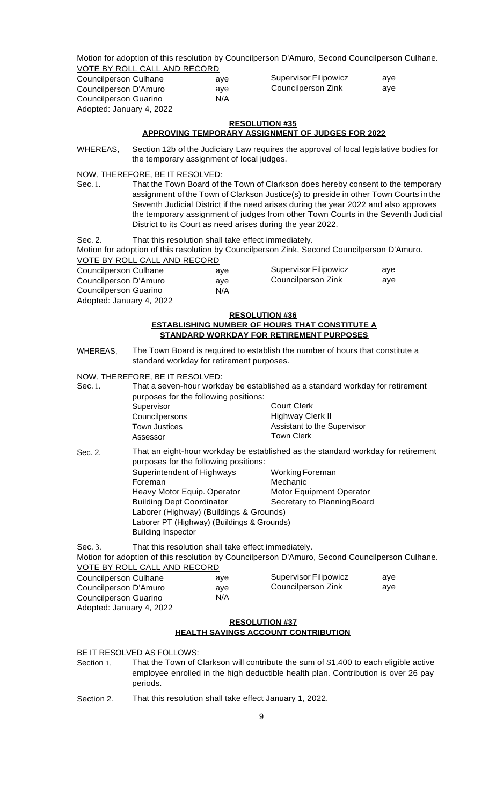Motion for adoption of this resolution by Councilperson D'Amuro, Second Councilperson Culhane. VOTE BY ROLL CALL AND RECORD

| Councilperson Culhane    | ave | Supervisor Filipowicz | ave |
|--------------------------|-----|-----------------------|-----|
| Councilperson D'Amuro    | ave | Councilperson Zink    | ave |
| Councilperson Guarino    | N/A |                       |     |
| Adopted: January 4, 2022 |     |                       |     |

# **RESOLUTION #35**

## **APPROVING TEMPORARY ASSIGNMENT OF JUDGES FOR 2022**

WHEREAS, Section 12b of the Judiciary Law requires the approval of local legislative bodies for the temporary assignment of local judges.

NOW, THEREFORE, BE IT RESOLVED:

Sec. 1. That the Town Board of the Town of Clarkson does hereby consent to the temporary assignment of the Town of Clarkson Justice(s) to preside in other Town Courts in the Seventh Judicial District if the need arises during the year 2022 and also approves the temporary assignment of judges from other Town Courts in the Seventh Judicial District to its Court as need arises during the year 2022.

Sec. 2. That this resolution shall take effect immediately.

Motion for adoption of this resolution by Councilperson Zink, Second Councilperson D'Amuro. VOTE BY ROLL CALL AND RECORD

| Councilperson Culhane | ave | <b>Supervisor Filipowicz</b> | ave |
|-----------------------|-----|------------------------------|-----|
| Councilperson D'Amuro | ave | Councilperson Zink           | ave |
| Councilperson Guarino | N/A |                              |     |
|                       |     |                              |     |

Adopted: January 4, 2022

#### **RESOLUTION #36**

#### **ESTABLISHING NUMBER OF HOURS THAT CONSTITUTE A STANDARD WORKDAY FOR RETIREMENT PURPOSES**

WHEREAS, The Town Board is required to establish the number of hours that constitute a standard workday for retirement purposes.

NOW, THEREFORE, BE IT RESOLVED:

| Sec. 1. |                                                                                                               | That a seven-hour workday be established as a standard workday for retirement<br>purposes for the following positions: |  |  |
|---------|---------------------------------------------------------------------------------------------------------------|------------------------------------------------------------------------------------------------------------------------|--|--|
|         | Supervisor                                                                                                    | <b>Court Clerk</b>                                                                                                     |  |  |
|         | Councilpersons                                                                                                | Highway Clerk II                                                                                                       |  |  |
|         | <b>Town Justices</b>                                                                                          | Assistant to the Supervisor                                                                                            |  |  |
|         | Assessor                                                                                                      | <b>Town Clerk</b>                                                                                                      |  |  |
| Sec. 2. | na canang ng taong tanggalang nanang mangalang nanang manang manang manang manang manang manang manang manang | That an eight-hour workday be established as the standard workday for retirement                                       |  |  |

purposes for the following positions: Superintendent of Highways Working Foreman Foreman Mechanic Heavy Motor Equip. Operator Motor Equipment Operator Building Dept Coordinator Secretary to Planning Board Laborer (Highway) (Buildings & Grounds) Laborer PT (Highway) (Buildings & Grounds) Building Inspector

Sec. 3. That this resolution shall take effect immediately. Motion for adoption of this resolution by Councilperson D'Amuro, Second Councilperson Culhane. VOTE BY ROLL CALL AND RECORD

| VOIL DI ROLL ORLLANTD REOORD |     |                       |     |
|------------------------------|-----|-----------------------|-----|
| Councilperson Culhane        | ave | Supervisor Filipowicz | ave |
| Councilperson D'Amuro        | ave | Councilperson Zink    | ave |
| Councilperson Guarino        | N/A |                       |     |
|                              |     |                       |     |

Adopted: January 4, 2022

# **RESOLUTION #37**

## **HEALTH SAVINGS ACCOUNT CONTRIBUTION**

BE IT RESOLVED AS FOLLOWS:

- Section 1. That the Town of Clarkson will contribute the sum of \$1,400 to each eligible active employee enrolled in the high deductible health plan. Contribution is over 26 pay periods.
- Section 2. That this resolution shall take effect January 1, 2022.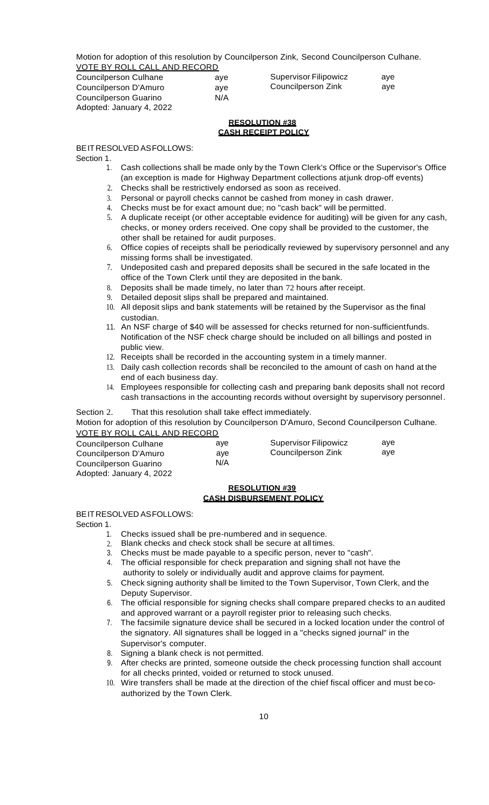Motion for adoption of this resolution by Councilperson Zink, Second Councilperson Culhane. VOTE BY ROLL CALL AND RECORD

| Councilperson Culhane    | ave | Supervisor Filipowicz | ave |
|--------------------------|-----|-----------------------|-----|
| Councilperson D'Amuro    | ave | Councilperson Zink    | ave |
| Councilperson Guarino    | N/A |                       |     |
| Adopted: January 4, 2022 |     |                       |     |

## **RESOLUTION #38 CASH RECEIPT POLICY**

## BEITRESOLVED ASFOLLOWS:

Section 1.

- 1. Cash collections shall be made only by the Town Clerk's Office or the Supervisor's Office (an exception is made for Highway Department collections atjunk drop-off events)
- 2. Checks shall be restrictively endorsed as soon as received.
- 3. Personal or payroll checks cannot be cashed from money in cash drawer.
- 4. Checks must be for exact amount due; no "cash back" will be permitted.
- 5. A duplicate receipt (or other acceptable evidence for auditing) will be given for any cash, checks, or money orders received. One copy shall be provided to the customer, the other shall be retained for audit purposes.
- 6. Office copies of receipts shall be periodically reviewed by supervisory personnel and any missing forms shall be investigated.
- 7. Undeposited cash and prepared deposits shall be secured in the safe located in the office of the Town Clerk until they are deposited in the bank.
- 8. Deposits shall be made timely, no later than 72 hours after receipt.
- 9. Detailed deposit slips shall be prepared and maintained.
- 10. All deposit slips and bank statements will be retained by the Supervisor as the final custodian.
- 11. An NSF charge of \$40 will be assessed for checks returned for non-sufficientfunds. Notification of the NSF check charge should be included on all billings and posted in public view.
- 12. Receipts shall be recorded in the accounting system in a timely manner.
- 13. Daily cash collection records shall be reconciled to the amount of cash on hand at the end of each business day.
- 14. Employees responsible for collecting cash and preparing bank deposits shall not record cash transactions in the accounting records without oversight by supervisory personnel.

## Section 2. That this resolution shall take effect immediately.

Motion for adoption of this resolution by Councilperson D'Amuro, Second Councilperson Culhane. VOTE BY ROLL CALL AND RECORD

| Councilperson Culhane | ave | Supervisor Filipowicz | ave |
|-----------------------|-----|-----------------------|-----|
| Councilperson D'Amuro | ave | Councilperson Zink    | ave |
| Councilperson Guarino | N/A |                       |     |
|                       |     |                       |     |

Adopted: January 4, 2022

## **RESOLUTION #39 CASH DISBURSEMENT POLICY**

## BEITRESOLVED ASFOLLOWS:

Section 1.

- 1. Checks issued shall be pre-numbered and in sequence.
- 2. Blank checks and check stock shall be secure at all times.
- 3. Checks must be made payable to a specific person, never to "cash".
- 4. The official responsible for check preparation and signing shall not have the
- authority to solely or individually audit and approve claims for payment.
- 5. Check signing authority shall be limited to the Town Supervisor, Town Clerk, and the Deputy Supervisor.
- 6. The official responsible for signing checks shall compare prepared checks to an audited and approved warrant or a payroll register prior to releasing such checks.
- 7. The facsimile signature device shall be secured in a locked location under the control of the signatory. All signatures shall be logged in a "checks signed journal" in the Supervisor's computer.
- 8. Signing a blank check is not permitted.
- 9. After checks are printed, someone outside the check processing function shall account for all checks printed, voided or returned to stock unused.
- 10. Wire transfers shall be made at the direction of the chief fiscal officer and must becoauthorized by the Town Clerk.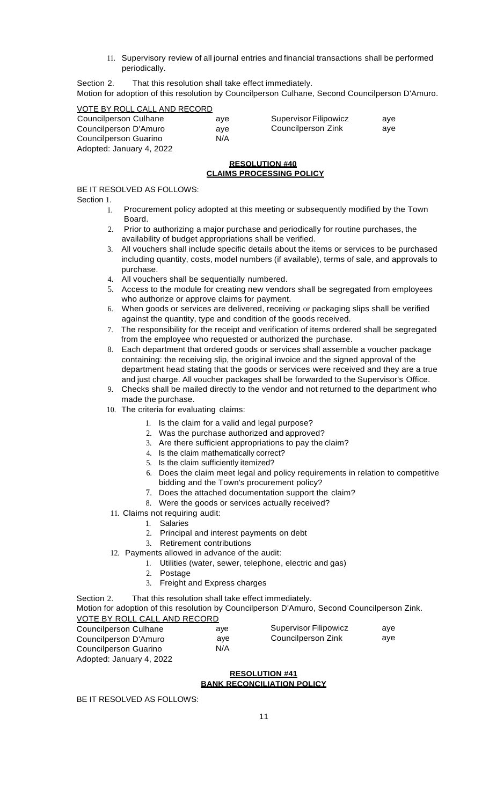11. Supervisory review of all journal entries and financial transactions shall be performed periodically.

Section 2. That this resolution shall take effect immediately.

Motion for adoption of this resolution by Councilperson Culhane, Second Councilperson D'Amuro.

| VOTE BY ROLL CALL AND RECORD |     |                       |     |
|------------------------------|-----|-----------------------|-----|
| Councilperson Culhane        | ave | Supervisor Filipowicz | ave |
| Councilperson D'Amuro        | ave | Councilperson Zink    | ave |
| Councilperson Guarino        | N/A |                       |     |
| Adopted: January 4, 2022     |     |                       |     |

## **RESOLUTION #40 CLAIMS PROCESSING POLICY**

# BE IT RESOLVED AS FOLLOWS:

Section 1.

- 1. Procurement policy adopted at this meeting or subsequently modified by the Town Board.
- 2. Prior to authorizing a major purchase and periodically for routine purchases, the availability of budget appropriations shall be verified.
- 3. All vouchers shall include specific details about the items or services to be purchased including quantity, costs, model numbers (if available), terms of sale, and approvals to purchase.
- 4. All vouchers shall be sequentially numbered.
- 5. Access to the module for creating new vendors shall be segregated from employees who authorize or approve claims for payment.
- 6. When goods or services are delivered, receiving or packaging slips shall be verified against the quantity, type and condition of the goods received.
- 7. The responsibility for the receipt and verification of items ordered shall be segregated from the employee who requested or authorized the purchase.
- 8. Each department that ordered goods or services shall assemble a voucher package containing: the receiving slip, the original invoice and the signed approval of the department head stating that the goods or services were received and they are a true and just charge. All voucher packages shall be forwarded to the Supervisor's Office.
- 9. Checks shall be mailed directly to the vendor and not returned to the department who made the purchase.
- 10. The criteria for evaluating claims:
	- 1. Is the claim for a valid and legal purpose?
	- 2. Was the purchase authorized and approved?
	- 3. Are there sufficient appropriations to pay the claim?
	- 4. Is the claim mathematically correct?
	- 5. Is the claim sufficiently itemized?
	- 6. Does the claim meet legal and policy requirements in relation to competitive bidding and the Town's procurement policy?
	- 7. Does the attached documentation support the claim?
	- 8. Were the goods or services actually received?
- 11. Claims not requiring audit:
	- 1. Salaries
	- 2. Principal and interest payments on debt
	- 3. Retirement contributions
- 12. Payments allowed in advance of the audit:
	- 1. Utilities (water, sewer, telephone, electric and gas)
		- 2. Postage
	- 3. Freight and Express charges

Section 2. That this resolution shall take effect immediately.

Motion for adoption of this resolution by Councilperson D'Amuro, Second Councilperson Zink. VOTE BY ROLL CALL AND RECORD

| Councilperson Culhane    | ave | <b>Supervisor Filipowicz</b> | ave |
|--------------------------|-----|------------------------------|-----|
| Councilperson D'Amuro    | ave | Councilperson Zink           | ave |
| Councilperson Guarino    | N/A |                              |     |
| Adopted: January 4, 2022 |     |                              |     |

## **RESOLUTION #41 BANK RECONCILIATION POLICY**

BE IT RESOLVED AS FOLLOWS: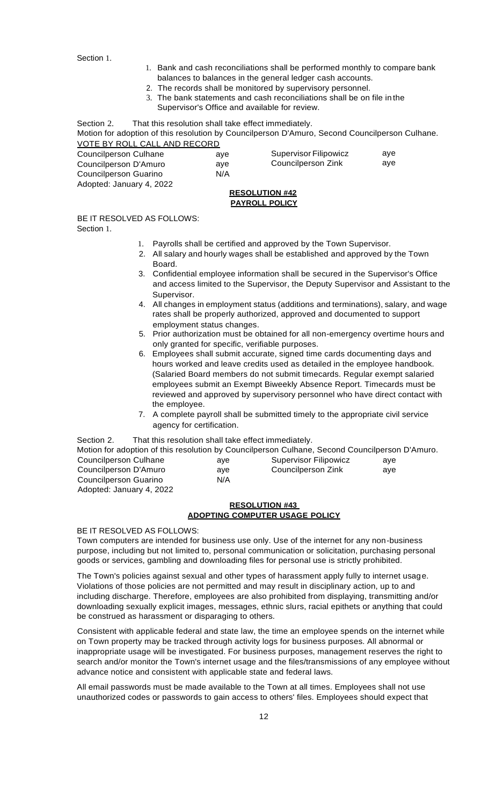Section 1.

- 1. Bank and cash reconciliations shall be performed monthly to compare bank balances to balances in the general ledger cash accounts.
- 2. The records shall be monitored by supervisory personnel.
- 3. The bank statements and cash reconciliations shall be on file in the Supervisor's Office and available for review.

Section 2. That this resolution shall take effect immediately. Motion for adoption of this resolution by Councilperson D'Amuro, Second Councilperson Culhane. VOTE BY ROLL CALL AND RECORD

| <b>Councilperson Culhane</b> | ave |
|------------------------------|-----|
| Councilperson D'Amuro        | ave |
| <b>Councilperson Guarino</b> | N/A |
| Adopted: January 4, 2022     |     |

| <b>Supervisor Filipowicz</b> | aye |
|------------------------------|-----|
| Councilperson Zink           | aye |

## **RESOLUTION #42 PAYROLL POLICY**

BE IT RESOLVED AS FOLLOWS:

Section 1.

- 1. Payrolls shall be certified and approved by the Town Supervisor.
- 2. All salary and hourly wages shall be established and approved by the Town **Board**
- 3. Confidential employee information shall be secured in the Supervisor's Office and access limited to the Supervisor, the Deputy Supervisor and Assistant to the Supervisor.
- 4. All changes in employment status (additions and terminations), salary, and wage rates shall be properly authorized, approved and documented to support employment status changes.
- 5. Prior authorization must be obtained for all non-emergency overtime hours and only granted for specific, verifiable purposes.
- 6. Employees shall submit accurate, signed time cards documenting days and hours worked and leave credits used as detailed in the employee handbook. (Salaried Board members do not submit timecards. Regular exempt salaried employees submit an Exempt Biweekly Absence Report. Timecards must be reviewed and approved by supervisory personnel who have direct contact with the employee.
- 7. A complete payroll shall be submitted timely to the appropriate civil service agency for certification.

Section 2. That this resolution shall take effect immediately.

| Motion for adoption of this resolution by Councilperson Culhane, Second Councilperson D'Amuro. |     |                       |     |
|------------------------------------------------------------------------------------------------|-----|-----------------------|-----|
| Councilperson Culhane                                                                          | ave | Supervisor Filipowicz | ave |
| Councilperson D'Amuro                                                                          | ave | Councilperson Zink    | ave |
| Councilperson Guarino                                                                          | N/A |                       |     |
| Adopted: January 4, 2022                                                                       |     |                       |     |

# **RESOLUTION #43 ADOPTING COMPUTER USAGE POLICY**

BE IT RESOLVED AS FOLLOWS:

Town computers are intended for business use only. Use of the internet for any non-business purpose, including but not limited to, personal communication or solicitation, purchasing personal goods or services, gambling and downloading files for personal use is strictly prohibited.

The Town's policies against sexual and other types of harassment apply fully to internet usage. Violations of those policies are not permitted and may result in disciplinary action, up to and including discharge. Therefore, employees are also prohibited from displaying, transmitting and/or downloading sexually explicit images, messages, ethnic slurs, racial epithets or anything that could be construed as harassment or disparaging to others.

Consistent with applicable federal and state law, the time an employee spends on the internet while on Town property may be tracked through activity logs for business purposes. All abnormal or inappropriate usage will be investigated. For business purposes, management reserves the right to search and/or monitor the Town's internet usage and the files/transmissions of any employee without advance notice and consistent with applicable state and federal laws.

All email passwords must be made available to the Town at all times. Employees shall not use unauthorized codes or passwords to gain access to others' files. Employees should expect that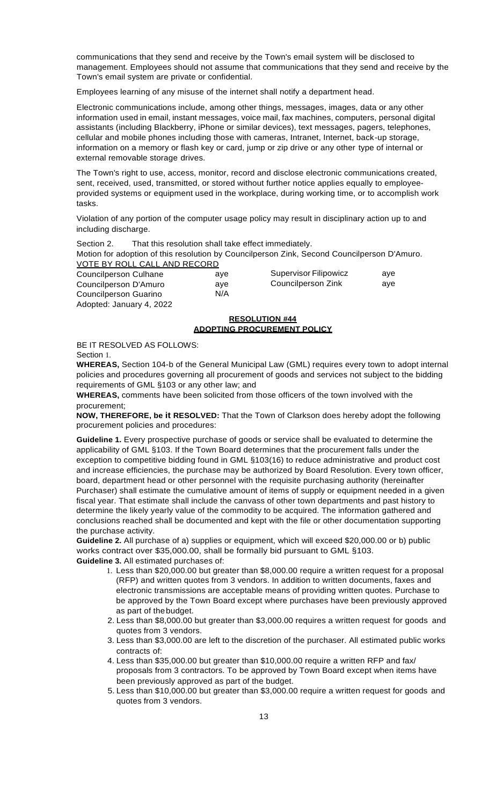communications that they send and receive by the Town's email system will be disclosed to management. Employees should not assume that communications that they send and receive by the Town's email system are private or confidential.

Employees learning of any misuse of the internet shall notify a department head.

Electronic communications include, among other things, messages, images, data or any other information used in email, instant messages, voice mail, fax machines, computers, personal digital assistants (including Blackberry, iPhone or similar devices), text messages, pagers, telephones, cellular and mobile phones including those with cameras, Intranet, Internet, back-up storage, information on a memory or flash key or card, jump or zip drive or any other type of internal or external removable storage drives.

The Town's right to use, access, monitor, record and disclose electronic communications created, sent, received, used, transmitted, or stored without further notice applies equally to employeeprovided systems or equipment used in the workplace, during working time, or to accomplish work tasks.

Violation of any portion of the computer usage policy may result in disciplinary action up to and including discharge.

Section 2. That this resolution shall take effect immediately.

Motion for adoption of this resolution by Councilperson Zink, Second Councilperson D'Amuro. VOTE BY ROLL CALL AND RECORD

| Councilperson Culhane    | ave | Supervisor Filipowicz | ave |
|--------------------------|-----|-----------------------|-----|
| Councilperson D'Amuro    | ave | Councilperson Zink    | ave |
| Councilperson Guarino    | N/A |                       |     |
| Adopted: January 4, 2022 |     |                       |     |

#### **RESOLUTION #44 ADOPTING PROCUREMENT POLICY**

BE IT RESOLVED AS FOLLOWS:

Section 1.

**WHEREAS,** Section 104-b of the General Municipal Law (GML) requires every town to adopt internal policies and procedures governing all procurement of goods and services not subject to the bidding requirements of GML §103 or any other law; and

**WHEREAS,** comments have been solicited from those officers of the town involved with the procurement;

**NOW, THEREFORE, be it RESOLVED:** That the Town of Clarkson does hereby adopt the following procurement policies and procedures:

**Guideline 1.** Every prospective purchase of goods or service shall be evaluated to determine the applicability of GML §103. If the Town Board determines that the procurement falls under the exception to competitive bidding found in GML §103(16) to reduce administrative and product cost and increase efficiencies, the purchase may be authorized by Board Resolution. Every town officer, board, department head or other personnel with the requisite purchasing authority (hereinafter Purchaser) shall estimate the cumulative amount of items of supply or equipment needed in a given fiscal year. That estimate shall include the canvass of other town departments and past history to determine the likely yearly value of the commodity to be acquired. The information gathered and conclusions reached shall be documented and kept with the file or other documentation supporting the purchase activity.

**Guideline 2.** All purchase of a) supplies or equipment, which will exceed \$20,000.00 or b) public works contract over \$35,000.00, shall be formally bid pursuant to GML §103.

**Guideline 3.** All estimated purchases of:

- 1. Less than \$20,000.00 but greater than \$8,000.00 require a written request for a proposal (RFP) and written quotes from 3 vendors. In addition to written documents, faxes and electronic transmissions are acceptable means of providing written quotes. Purchase to be approved by the Town Board except where purchases have been previously approved as part of thebudget.
- 2. Less than \$8,000.00 but greater than \$3,000.00 requires a written request for goods and quotes from 3 vendors.
- 3. Less than \$3,000.00 are left to the discretion of the purchaser. All estimated public works contracts of:
- 4. Less than \$35,000.00 but greater than \$10,000.00 require a written RFP and fax/ proposals from 3 contractors. To be approved by Town Board except when items have been previously approved as part of the budget.
- 5. Less than \$10,000.00 but greater than \$3,000.00 require a written request for goods and quotes from 3 vendors.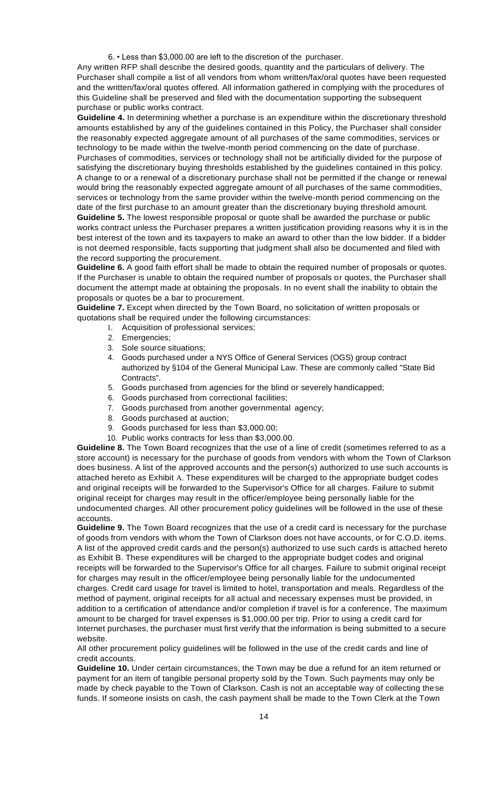6. • Less than \$3,000.00 are left to the discretion of the purchaser.

Any written RFP shall describe the desired goods, quantity and the particulars of delivery. The Purchaser shall compile a list of all vendors from whom written/fax/oral quotes have been requested and the written/fax/oral quotes offered. All information gathered in complying with the procedures of this Guideline shall be preserved and filed with the documentation supporting the subsequent purchase or public works contract.

**Guideline 4.** In determining whether a purchase is an expenditure within the discretionary threshold amounts established by any of the guidelines contained in this Policy, the Purchaser shall consider the reasonably expected aggregate amount of all purchases of the same commodities, services or technology to be made within the twelve-month period commencing on the date of purchase. Purchases of commodities, services or technology shall not be artificially divided for the purpose of satisfying the discretionary buying thresholds established by the guidelines contained in this policy. A change to or a renewal of a discretionary purchase shall not be permitted if the change or renewal would bring the reasonably expected aggregate amount of all purchases of the same commodities, services or technology from the same provider within the twelve-month period commencing on the date of the first purchase to an amount greater than the discretionary buying threshold amount. **Guideline 5.** The lowest responsible proposal or quote shall be awarded the purchase or public works contract unless the Purchaser prepares a written justification providing reasons why it is in the best interest of the town and its taxpayers to make an award to other than the low bidder. If a bidder is not deemed responsible, facts supporting that judgment shall also be documented and filed with the record supporting the procurement.

**Guideline 6.** A good faith effort shall be made to obtain the required number of proposals or quotes. If the Purchaser is unable to obtain the required number of proposals or quotes, the Purchaser shall document the attempt made at obtaining the proposals. In no event shall the inability to obtain the proposals or quotes be a bar to procurement.

**Guideline 7.** Except when directed by the Town Board, no solicitation of written proposals or quotations shall be required under the following circumstances:

- 1. Acquisition of professional services;
- 2. Emergencies;
- 3. Sole source situations;
- 4. Goods purchased under a NYS Office of General Services (OGS) group contract authorized by §104 of the General Municipal Law. These are commonly called "State Bid Contracts".
- 5. Goods purchased from agencies for the blind or severely handicapped;
- 6. Goods purchased from correctional facilities;
- 7. Goods purchased from another governmental agency;
- 8. Goods purchased at auction;
- 9. Goods purchased for less than \$3,000.00;
- 10. Public works contracts for less than \$3,000.00.

**Guideline 8.** The Town Board recognizes that the use of a line of credit (sometimes referred to as a store account) is necessary for the purchase of goods from vendors with whom the Town of Clarkson does business. A list of the approved accounts and the person(s) authorized to use such accounts is attached hereto as Exhibit A. These expenditures will be charged to the appropriate budget codes and original receipts will be forwarded to the Supervisor's Office for all charges. Failure to submit original receipt for charges may result in the officer/employee being personally liable for the undocumented charges. All other procurement policy guidelines will be followed in the use of these accounts.

**Guideline 9.** The Town Board recognizes that the use of a credit card is necessary for the purchase of goods from vendors with whom the Town of Clarkson does not have accounts, or for C.O.D. items. A list of the approved credit cards and the person(s) authorized to use such cards is attached hereto as Exhibit B. These expenditures will be charged to the appropriate budget codes and original receipts will be forwarded to the Supervisor's Office for all charges. Failure to submit original receipt for charges may result in the officer/employee being personally liable for the undocumented charges. Credit card usage for travel is limited to hotel, transportation and meals. Regardless of the method of payment, original receipts for all actual and necessary expenses must be provided, in addition to a certification of attendance and/or completion if travel is for a conference. The maximum amount to be charged for travel expenses is \$1,000.00 per trip. Prior to using a credit card for Internet purchases, the purchaser must first verify that the information is being submitted to a secure website.

All other procurement policy guidelines will be followed in the use of the credit cards and line of credit accounts.

**Guideline 10.** Under certain circumstances, the Town may be due a refund for an item returned or payment for an item of tangible personal property sold by the Town. Such payments may only be made by check payable to the Town of Clarkson. Cash is not an acceptable way of collecting these funds. If someone insists on cash, the cash payment shall be made to the Town Clerk at the Town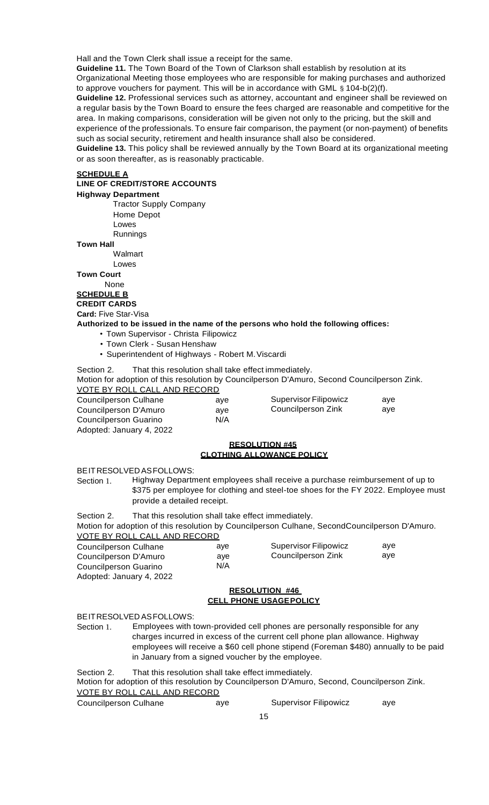Hall and the Town Clerk shall issue a receipt for the same.

**Guideline 11.** The Town Board of the Town of Clarkson shall establish by resolution at its

Organizational Meeting those employees who are responsible for making purchases and authorized to approve vouchers for payment. This will be in accordance with GML § 104-b(2)(f).

**Guideline 12.** Professional services such as attorney, accountant and engineer shall be reviewed on a regular basis by the Town Board to ensure the fees charged are reasonable and competitive for the area. In making comparisons, consideration will be given not only to the pricing, but the skill and

experience of the professionals. To ensure fair comparison, the payment (or non-payment) of benefits such as social security, retirement and health insurance shall also be considered.

**Guideline 13.** This policy shall be reviewed annually by the Town Board at its organizational meeting or as soon thereafter, as is reasonably practicable.

#### **SCHEDULE A**

## **LINE OF CREDIT/STORE ACCOUNTS**

**Highway Department**

Tractor Supply Company

Home Depot

Lowes

Runnings

**Town Hall**

Walmart

Lowes

**Town Court**

None

**SCHEDULE B**

**CREDIT CARDS**

**Card:** Five Star-Visa

**Authorized to be issued in the name of the persons who hold the following offices:**

aye aye N/A

- Town Supervisor Christa Filipowicz
- Town Clerk Susan Henshaw
- Superintendent of Highways Robert M.Viscardi

Section 2. That this resolution shall take effect immediately.

Motion for adoption of this resolution by Councilperson D'Amuro, Second Councilperson Zink.

VOTE BY ROLL CALL AND RECORD

Councilperson Culhane Councilperson D'Amuro Councilperson Guarino Adopted: January 4, 2022 Supervisor Filipowicz Councilperson Zink aye aye

## **RESOLUTION #45 CLOTHING ALLOWANCE POLICY**

BEITRESOLVED ASFOLLOWS:

Section 1. Highway Department employees shall receive a purchase reimbursement of up to \$375 per employee for clothing and steel-toe shoes for the FY 2022. Employee must provide a detailed receipt.

Section 2. That this resolution shall take effect immediately.

Motion for adoption of this resolution by Councilperson Culhane, SecondCouncilperson D'Amuro. VOTE BY ROLL CALL AND RECORD

| Councilperson Culhane    | ave | Supervisor Filipowicz | ave |
|--------------------------|-----|-----------------------|-----|
| Councilperson D'Amuro    | ave | Councilperson Zink    | ave |
| Councilperson Guarino    | N/A |                       |     |
| Adopted: January 4, 2022 |     |                       |     |

#### **RESOLUTION #46 CELL PHONE USAGEPOLICY**

BEITRESOLVED ASFOLLOWS:

Section 1. Employees with town-provided cell phones are personally responsible for any charges incurred in excess of the current cell phone plan allowance. Highway employees will receive a \$60 cell phone stipend (Foreman \$480) annually to be paid in January from a signed voucher by the employee.

Section 2. That this resolution shall take effect immediately. Motion for adoption of this resolution by Councilperson D'Amuro, Second, Councilperson Zink.

VOTE BY ROLL CALL AND RECORD

Councilperson Culhane aye Supervisor Filipowicz aye

15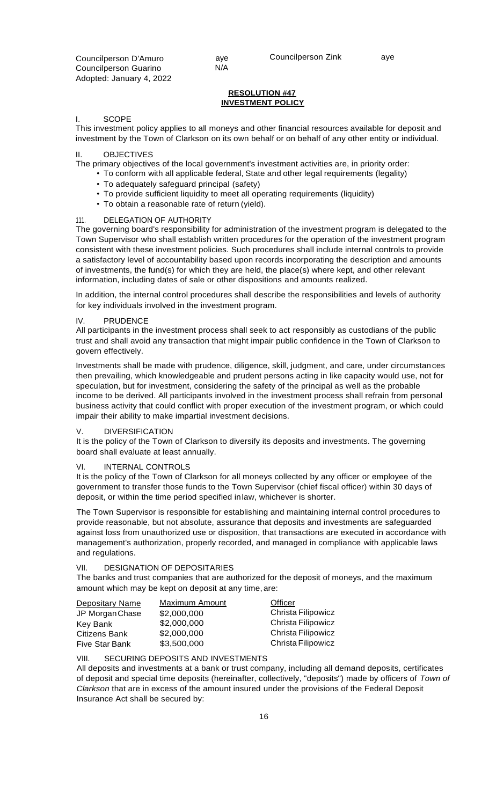Councilperson Zink aye

## **RESOLUTION #47 INVESTMENT POLICY**

#### I. SCOPE

This investment policy applies to all moneys and other financial resources available for deposit and investment by the Town of Clarkson on its own behalf or on behalf of any other entity or individual.

#### II. OBJECTIVES

The primary objectives of the local government's investment activities are, in priority order:

- To conform with all applicable federal, State and other legal requirements (legality)
- To adequately safeguard principal (safety)
- To provide sufficient liquidity to meet all operating requirements (liquidity)

aye N/A

• To obtain a reasonable rate of return (yield).

## 111. DELEGATION OF AUTHORITY

The governing board's responsibility for administration of the investment program is delegated to the Town Supervisor who shall establish written procedures for the operation of the investment program consistent with these investment policies. Such procedures shall include internal controls to provide a satisfactory level of accountability based upon records incorporating the description and amounts of investments, the fund(s) for which they are held, the place(s) where kept, and other relevant information, including dates of sale or other dispositions and amounts realized.

In addition, the internal control procedures shall describe the responsibilities and levels of authority for key individuals involved in the investment program.

## IV. PRUDENCE

All participants in the investment process shall seek to act responsibly as custodians of the public trust and shall avoid any transaction that might impair public confidence in the Town of Clarkson to govern effectively.

Investments shall be made with prudence, diligence, skill, judgment, and care, under circumstances then prevailing, which knowledgeable and prudent persons acting in like capacity would use, not for speculation, but for investment, considering the safety of the principal as well as the probable income to be derived. All participants involved in the investment process shall refrain from personal business activity that could conflict with proper execution of the investment program, or which could impair their ability to make impartial investment decisions.

## V. DIVERSIFICATION

It is the policy of the Town of Clarkson to diversify its deposits and investments. The governing board shall evaluate at least annually.

## VI. INTERNAL CONTROLS

It is the policy of the Town of Clarkson for all moneys collected by any officer or employee of the government to transfer those funds to the Town Supervisor (chief fiscal officer) within 30 days of deposit, or within the time period specified inlaw, whichever is shorter.

The Town Supervisor is responsible for establishing and maintaining internal control procedures to provide reasonable, but not absolute, assurance that deposits and investments are safeguarded against loss from unauthorized use or disposition, that transactions are executed in accordance with management's authorization, properly recorded, and managed in compliance with applicable laws and regulations.

## VII. DESIGNATION OF DEPOSITARIES

The banks and trust companies that are authorized for the deposit of moneys, and the maximum amount which may be kept on deposit at any time, are:

| <b>Depositary Name</b> | <b>Maximum Amount</b> | <b>Officer</b>     |
|------------------------|-----------------------|--------------------|
| JP Morgan Chase        | \$2,000,000           | Christa Filipowicz |
| Key Bank               | \$2,000,000           | Christa Filipowicz |
| <b>Citizens Bank</b>   | \$2,000,000           | Christa Filipowicz |
| <b>Five Star Bank</b>  | \$3,500,000           | Christa Filipowicz |

VIII. SECURING DEPOSITS AND INVESTMENTS

All deposits and investments at a bank or trust company, including all demand deposits, certificates of deposit and special time deposits (hereinafter, collectively, "deposits") made by officers of *Town of Clarkson* that are in excess of the amount insured under the provisions of the Federal Deposit Insurance Act shall be secured by: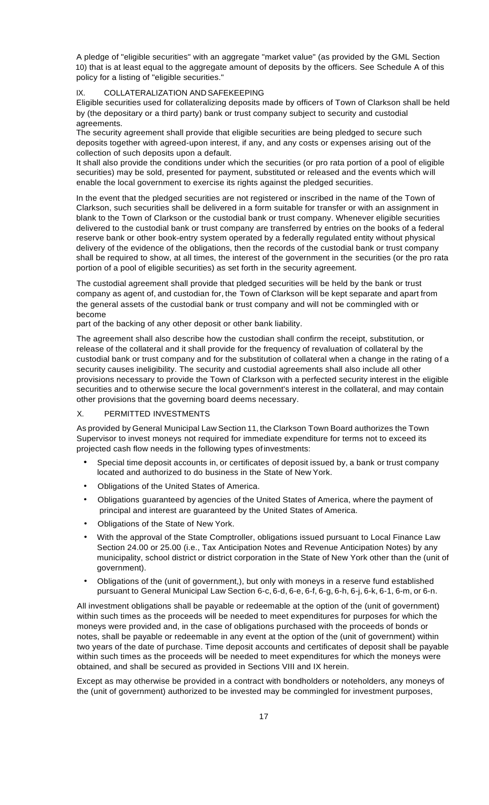A pledge of "eligible securities" with an aggregate "market value" (as provided by the GML Section 10) that is at least equal to the aggregate amount of deposits by the officers. See Schedule A of this policy for a listing of "eligible securities."

## IX. COLLATERALIZATION AND SAFEKEEPING

Eligible securities used for collateralizing deposits made by officers of Town of Clarkson shall be held by (the depositary or a third party) bank or trust company subject to security and custodial agreements.

The security agreement shall provide that eligible securities are being pledged to secure such deposits together with agreed-upon interest, if any, and any costs or expenses arising out of the collection of such deposits upon a default.

It shall also provide the conditions under which the securities (or pro rata portion of a pool of eligible securities) may be sold, presented for payment, substituted or released and the events which will enable the local government to exercise its rights against the pledged securities.

In the event that the pledged securities are not registered or inscribed in the name of the Town of Clarkson, such securities shall be delivered in a form suitable for transfer or with an assignment in blank to the Town of Clarkson or the custodial bank or trust company. Whenever eligible securities delivered to the custodial bank or trust company are transferred by entries on the books of a federal reserve bank or other book-entry system operated by a federally regulated entity without physical delivery of the evidence of the obligations, then the records of the custodial bank or trust company shall be required to show, at all times, the interest of the government in the securities (or the pro rata portion of a pool of eligible securities) as set forth in the security agreement.

The custodial agreement shall provide that pledged securities will be held by the bank or trust company as agent of, and custodian for, the Town of Clarkson will be kept separate and apart from the general assets of the custodial bank or trust company and will not be commingled with or become

part of the backing of any other deposit or other bank liability.

The agreement shall also describe how the custodian shall confirm the receipt, substitution, or release of the collateral and it shall provide for the frequency of revaluation of collateral by the custodial bank or trust company and for the substitution of collateral when a change in the rating of a security causes ineligibility. The security and custodial agreements shall also include all other provisions necessary to provide the Town of Clarkson with a perfected security interest in the eligible securities and to otherwise secure the local government's interest in the collateral, and may contain other provisions that the governing board deems necessary.

## X. PERMITTED INVESTMENTS

As provided by General Municipal Law Section 11, the Clarkson Town Board authorizes the Town Supervisor to invest moneys not required for immediate expenditure for terms not to exceed its projected cash flow needs in the following types ofinvestments:

- Special time deposit accounts in, or certificates of deposit issued by, a bank or trust company located and authorized to do business in the State of New York.
- Obligations of the United States of America.
- Obligations guaranteed by agencies of the United States of America, where the payment of principal and interest are guaranteed by the United States of America.
- Obligations of the State of New York.
- With the approval of the State Comptroller, obligations issued pursuant to Local Finance Law Section 24.00 or 25.00 (i.e., Tax Anticipation Notes and Revenue Anticipation Notes) by any municipality, school district or district corporation in the State of New York other than the (unit of government).
- Obligations of the (unit of government,), but only with moneys in a reserve fund established pursuant to General Municipal Law Section 6-c, 6-d, 6-e, 6-f, 6-g, 6-h, 6-j, 6-k, 6-1, 6-m, or 6-n.

All investment obligations shall be payable or redeemable at the option of the (unit of government) within such times as the proceeds will be needed to meet expenditures for purposes for which the moneys were provided and, in the case of obligations purchased with the proceeds of bonds or notes, shall be payable or redeemable in any event at the option of the (unit of government) within two years of the date of purchase. Time deposit accounts and certificates of deposit shall be payable within such times as the proceeds will be needed to meet expenditures for which the moneys were obtained, and shall be secured as provided in Sections VIII and IX herein.

Except as may otherwise be provided in a contract with bondholders or noteholders, any moneys of the (unit of government) authorized to be invested may be commingled for investment purposes,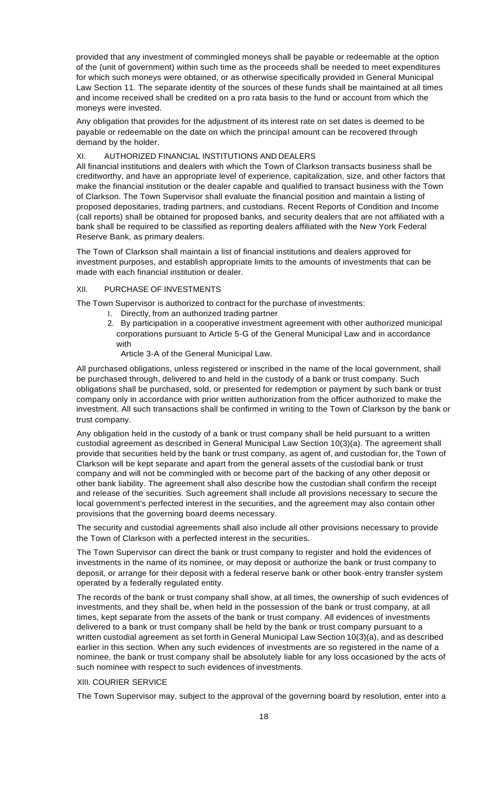provided that any investment of commingled moneys shall be payable or redeemable at the option of the (unit of government) within such time as the proceeds shall be needed to meet expenditures for which such moneys were obtained, or as otherwise specifically provided in General Municipal Law Section 11. The separate identity of the sources of these funds shall be maintained at all times and income received shall be credited on a pro rata basis to the fund or account from which the moneys were invested.

Any obligation that provides for the adjustment of its interest rate on set dates is deemed to be payable or redeemable on the date on which the principal amount can be recovered through demand by the holder.

#### XI. AUTHORIZED FINANCIAL INSTITUTIONS AND DEALERS

All financial institutions and dealers with which the Town of Clarkson transacts business shall be creditworthy, and have an appropriate level of experience, capitalization, size, and other factors that make the financial institution or the dealer capable and qualified to transact business with the Town of Clarkson. The Town Supervisor shall evaluate the financial position and maintain a listing of proposed depositaries, trading partners, and custodians. Recent Reports of Condition and Income (call reports) shall be obtained for proposed banks, and security dealers that are not affiliated with a bank shall be required to be classified as reporting dealers affiliated with the New York Federal Reserve Bank, as primary dealers.

The Town of Clarkson shall maintain a list of financial institutions and dealers approved for investment purposes, and establish appropriate limits to the amounts of investments that can be made with each financial institution or dealer.

#### XII. PURCHASE OF INVESTMENTS

The Town Supervisor is authorized to contract for the purchase of investments:

- 1. Directly, from an authorized trading partner
- 2. By participation in a cooperative investment agreement with other authorized municipal corporations pursuant to Article 5-G of the General Municipal Law and in accordance with
	- Article 3-A of the General Municipal Law.

All purchased obligations, unless registered or inscribed in the name of the local government, shall be purchased through, delivered to and held in the custody of a bank or trust company. Such obligations shall be purchased, sold, or presented for redemption or payment by such bank or trust company only in accordance with prior written authorization from the officer authorized to make the investment. All such transactions shall be confirmed in writing to the Town of Clarkson by the bank or trust company.

Any obligation held in the custody of a bank or trust company shall be held pursuant to a written custodial agreement as described in General Municipal Law Section 10(3)(a). The agreement shall provide that securities held by the bank or trust company, as agent of, and custodian for, the Town of Clarkson will be kept separate and apart from the general assets of the custodial bank or trust company and will not be commingled with or become part of the backing of any other deposit or other bank liability. The agreement shall also describe how the custodian shall confirm the receipt and release of the securities. Such agreement shall include all provisions necessary to secure the local government's perfected interest in the securities, and the agreement may also contain other provisions that the governing board deems necessary.

The security and custodial agreements shall also include all other provisions necessary to provide the Town of Clarkson with a perfected interest in the securities.

The Town Supervisor can direct the bank or trust company to register and hold the evidences of investments in the name of its nominee, or may deposit or authorize the bank or trust company to deposit, or arrange for their deposit with a federal reserve bank or other book-entry transfer system operated by a federally regulated entity.

The records of the bank or trust company shall show, at all times, the ownership of such evidences of investments, and they shall be, when held in the possession of the bank or trust company, at all times, kept separate from the assets of the bank or trust company. All evidences of investments delivered to a bank or trust company shall be held by the bank or trust company pursuant to a written custodial agreement as set forth in General Municipal Law Section 10(3)(a), and as described earlier in this section. When any such evidences of investments are so registered in the name of a nominee, the bank or trust company shall be absolutely liable for any loss occasioned by the acts of such nominee with respect to such evidences of investments.

#### XIII. COURIER SERVICE

The Town Supervisor may, subject to the approval of the governing board by resolution, enter into a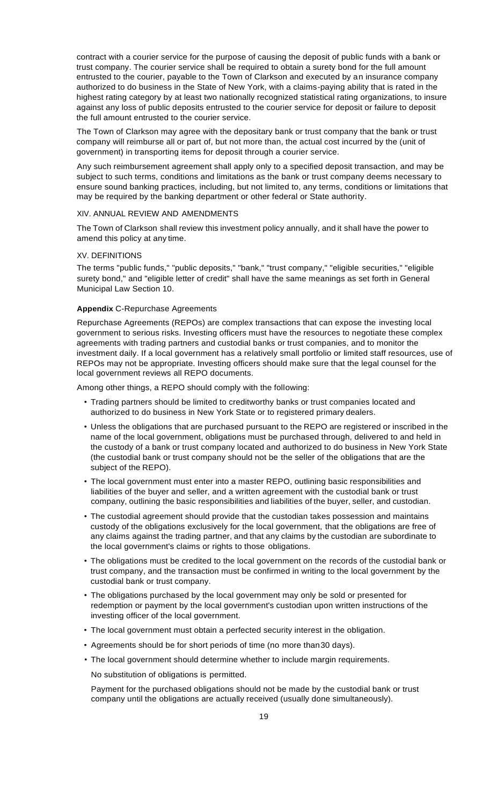contract with a courier service for the purpose of causing the deposit of public funds with a bank or trust company. The courier service shall be required to obtain a surety bond for the full amount entrusted to the courier, payable to the Town of Clarkson and executed by an insurance company authorized to do business in the State of New York, with a claims-paying ability that is rated in the highest rating category by at least two nationally recognized statistical rating organizations, to insure against any loss of public deposits entrusted to the courier service for deposit or failure to deposit the full amount entrusted to the courier service.

The Town of Clarkson may agree with the depositary bank or trust company that the bank or trust company will reimburse all or part of, but not more than, the actual cost incurred by the (unit of government) in transporting items for deposit through a courier service.

Any such reimbursement agreement shall apply only to a specified deposit transaction, and may be subject to such terms, conditions and limitations as the bank or trust company deems necessary to ensure sound banking practices, including, but not limited to, any terms, conditions or limitations that may be required by the banking department or other federal or State authority.

#### XIV. ANNUAL REVIEW AND AMENDMENTS

The Town of Clarkson shall review this investment policy annually, and it shall have the power to amend this policy at any time.

#### XV. DEFINITIONS

The terms "public funds," "public deposits," "bank," "trust company," "eligible securities," "eligible surety bond," and "eligible letter of credit" shall have the same meanings as set forth in General Municipal Law Section 10.

#### **Appendix** C-Repurchase Agreements

Repurchase Agreements (REPOs) are complex transactions that can expose the investing local government to serious risks. Investing officers must have the resources to negotiate these complex agreements with trading partners and custodial banks or trust companies, and to monitor the investment daily. If a local government has a relatively small portfolio or limited staff resources, use of REPOs may not be appropriate. Investing officers should make sure that the legal counsel for the local government reviews all REPO documents.

Among other things, a REPO should comply with the following:

- Trading partners should be limited to creditworthy banks or trust companies located and authorized to do business in New York State or to registered primary dealers.
- Unless the obligations that are purchased pursuant to the REPO are registered or inscribed in the name of the local government, obligations must be purchased through, delivered to and held in the custody of a bank or trust company located and authorized to do business in New York State (the custodial bank or trust company should not be the seller of the obligations that are the subject of the REPO).
- The local government must enter into a master REPO, outlining basic responsibilities and liabilities of the buyer and seller, and a written agreement with the custodial bank or trust company, outlining the basic responsibilities and liabilities of the buyer, seller, and custodian.
- The custodial agreement should provide that the custodian takes possession and maintains custody of the obligations exclusively for the local government, that the obligations are free of any claims against the trading partner, and that any claims by the custodian are subordinate to the local government's claims or rights to those obligations.
- The obligations must be credited to the local government on the records of the custodial bank or trust company, and the transaction must be confirmed in writing to the local government by the custodial bank or trust company.
- The obligations purchased by the local government may only be sold or presented for redemption or payment by the local government's custodian upon written instructions of the investing officer of the local government.
- The local government must obtain a perfected security interest in the obligation.
- Agreements should be for short periods of time (no more than30 days).
- The local government should determine whether to include margin requirements.

No substitution of obligations is permitted.

Payment for the purchased obligations should not be made by the custodial bank or trust company until the obligations are actually received (usually done simultaneously).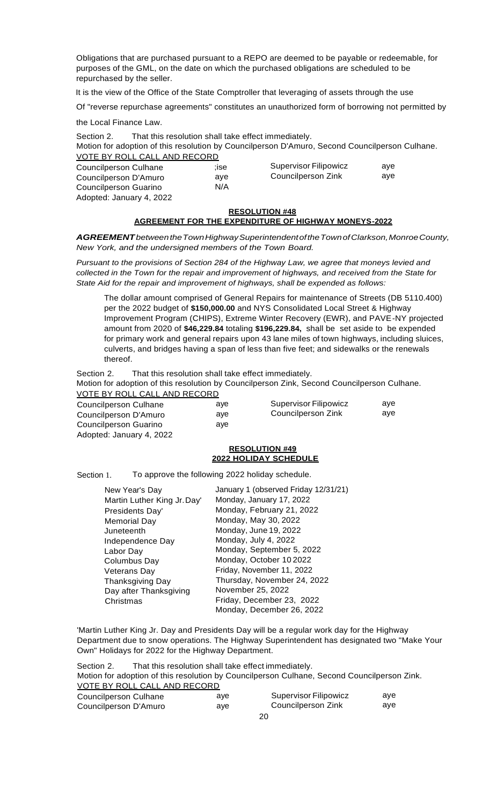Obligations that are purchased pursuant to a REPO are deemed to be payable or redeemable, for purposes of the GML, on the date on which the purchased obligations are scheduled to be repurchased by the seller.

It is the view of the Office of the State Comptroller that leveraging of assets through the use

Of "reverse repurchase agreements" constitutes an unauthorized form of borrowing not permitted by

the Local Finance Law.

Section 2. That this resolution shall take effect immediately. Motion for adoption of this resolution by Councilperson D'Amuro, Second Councilperson Culhane. VOTE BY ROLL CALL AND RECORD Councilperson Culhane Councilperson D'Amuro Councilperson Guarino Adopted: January 4, 2022 ;ise aye N/A Supervisor Filipowicz Councilperson Zink aye aye

# **RESOLUTION #48**

# **AGREEMENT FOR THE EXPENDITURE OF HIGHWAY MONEYS-2022**

*AGREEMENTbetweentheTownHighwaySuperintendentoftheTownofClarkson,MonroeCounty, New York, and the undersigned members of the Town Board.*

*Pursuant to the provisions of Section 284 of the Highway Law, we agree that moneys levied and collected in the Town for the repair and improvement of highways, and received from the State for State Aid for the repair and improvement of highways, shall be expended as follows:*

The dollar amount comprised of General Repairs for maintenance of Streets (DB 5110.400) per the 2022 budget of **\$150,000.00** and NYS Consolidated Local Street & Highway Improvement Program (CHIPS), Extreme Winter Recovery (EWR), and PAVE-NY projected amount from 2020 of **\$46,229.84** totaling **\$196,229.84,** shall be set aside to be expended for primary work and general repairs upon 43 lane miles of town highways, including sluices, culverts, and bridges having a span of less than five feet; and sidewalks or the renewals thereof.

Section 2. That this resolution shall take effect immediately.

Motion for adoption of this resolution by Councilperson Zink, Second Councilperson Culhane. VOTE BY ROLL CALL AND RECORD

| Councilperson Culhane    | ave | <b>Supervisor Filipowicz</b> | ave |
|--------------------------|-----|------------------------------|-----|
| Councilperson D'Amuro    | ave | Councilperson Zink           | ave |
| Councilperson Guarino    | ave |                              |     |
| Adopted: January 4, 2022 |     |                              |     |

#### **RESOLUTION #49 2022 HOLIDAY SCHEDULE**

Section 1. To approve the following 2022 holiday schedule.

| New Year's Day              | January 1 (observed Friday 12/31/21) |
|-----------------------------|--------------------------------------|
| Martin Luther King Jr. Day' | Monday, January 17, 2022             |
| Presidents Day'             | Monday, February 21, 2022            |
| <b>Memorial Day</b>         | Monday, May 30, 2022                 |
| Juneteenth                  | Monday, June 19, 2022                |
| Independence Day            | Monday, July 4, 2022                 |
| Labor Day                   | Monday, September 5, 2022            |
| Columbus Day                | Monday, October 10 2022              |
| Veterans Day                | Friday, November 11, 2022            |
| <b>Thanksgiving Day</b>     | Thursday, November 24, 2022          |
| Day after Thanksgiving      | November 25, 2022                    |
| Christmas                   | Friday, December 23, 2022            |
|                             | Monday, December 26, 2022            |

'Martin Luther King Jr. Day and Presidents Day will be a regular work day for the Highway Department due to snow operations. The Highway Superintendent has designated two "Make Your Own" Holidays for 2022 for the Highway Department.

Section 2. That this resolution shall take effect immediately. Motion for adoption of this resolution by Councilperson Culhane, Second Councilperson Zink. VOTE BY ROLL CALL AND RECORD Councilperson Culhane Councilperson D'Amuro aye Supervisor Filipowicz  $Z$ ink aye aye

| aye | Councilperson Z |
|-----|-----------------|
|     | 20              |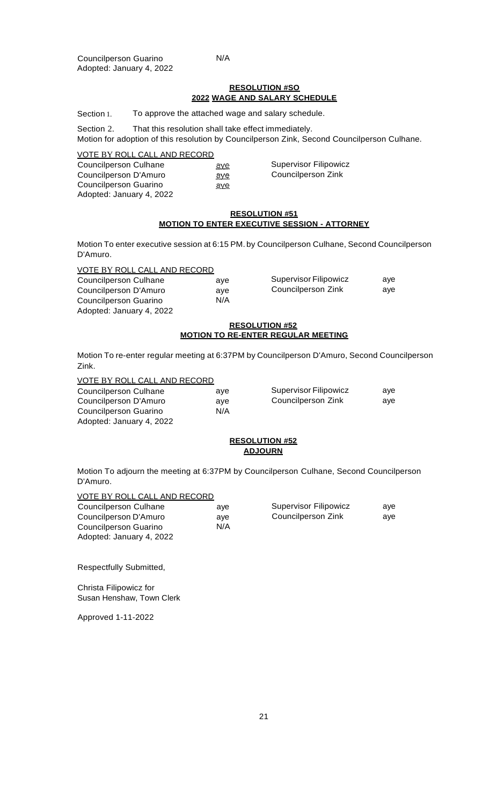#### N/A

ave aye aye

#### **RESOLUTION #SO 2022 WAGE AND SALARY SCHEDULE**

Section 1. To approve the attached wage and salary schedule.

Section 2. That this resolution shall take effect immediately.

Motion for adoption of this resolution by Councilperson Zink, Second Councilperson Culhane.

#### VOTE BY ROLL CALL AND RECORD

Councilperson Culhane Councilperson D'Amuro Councilperson Guarino Adopted: January 4, 2022 Supervisor Filipowicz Councilperson Zink

#### **RESOLUTION #51 MOTION TO ENTER EXECUTIVE SESSION - ATTORNEY**

Motion To enter executive session at 6:15 PM. by Councilperson Culhane, Second Councilperson D'Amuro.

> aye aye N/A

# VOTE BY ROLL CALL AND RECORD

| <b>Councilperson Culhane</b> |
|------------------------------|
| Councilperson D'Amuro        |
| <b>Councilperson Guarino</b> |
| Adopted: January 4, 2022     |

| <b>Supervisor Filipowicz</b> | ave |
|------------------------------|-----|
| Councilperson Zink           | ave |

#### **RESOLUTION #52 MOTION TO RE-ENTER REGULAR MEETING**

Motion To re-enter regular meeting at 6:37PM by Councilperson D'Amuro, Second Councilperson Zink.

## VOTE BY ROLL CALL AND RECORD

| Councilperson Culhane    | ave | <b>Supervisor Filipowicz</b> | ave |
|--------------------------|-----|------------------------------|-----|
| Councilperson D'Amuro    | ave | Councilperson Zink           | ave |
| Councilperson Guarino    | N/A |                              |     |
| Adopted: January 4, 2022 |     |                              |     |

#### **RESOLUTION #52 ADJOURN**

Motion To adjourn the meeting at 6:37PM by Councilperson Culhane, Second Councilperson D'Amuro.

#### VOTE BY ROLL CALL AND RECORD

| Councilperson Culhane    | ave | Supervisor Filipowicz | ave |
|--------------------------|-----|-----------------------|-----|
| Councilperson D'Amuro    | ave | Councilperson Zink    | ave |
| Councilperson Guarino    | N/A |                       |     |
| Adopted: January 4, 2022 |     |                       |     |

Respectfully Submitted,

Christa Filipowicz for Susan Henshaw, Town Clerk

Approved 1-11-2022